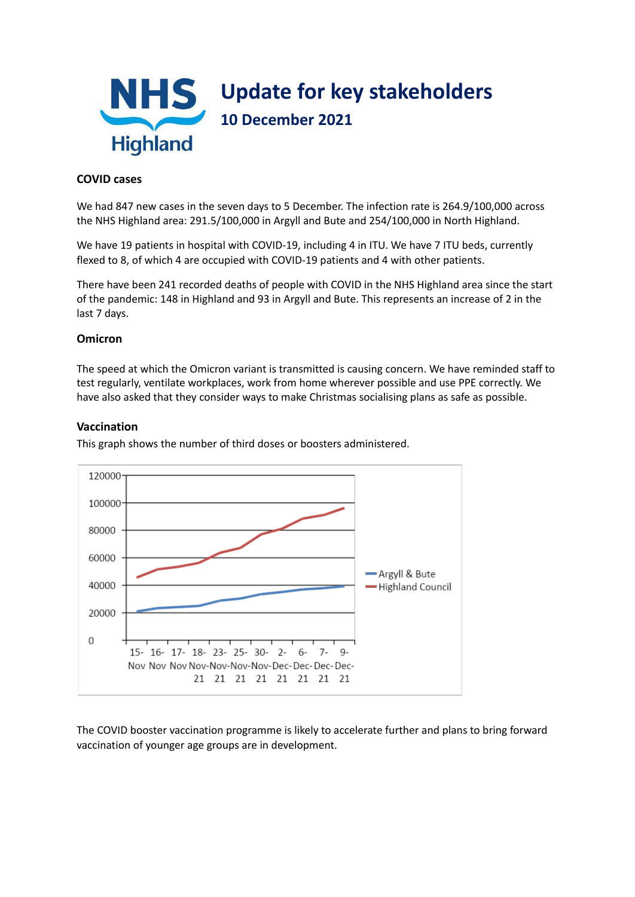

# **COVID cases**

We had 847 new cases in the seven days to 5 December. The infection rate is 264.9/100,000 across the NHS Highland area: 291.5/100,000 in Argyll and Bute and 254/100,000 in North Highland.

We have 19 patients in hospital with COVID-19, including 4 in ITU. We have 7 ITU beds, currently flexed to 8, of which 4 are occupied with COVID-19 patients and 4 with other patients.

There have been 241 recorded deaths of people with COVID in the NHS Highland area since the start of the pandemic: 148 in Highland and 93 in Argyll and Bute. This represents an increase of 2 in the last 7 days.

### **Omicron**

The speed at which the Omicron variant is transmitted is causing concern. We have reminded staff to test regularly, ventilate workplaces, work from home wherever possible and use PPE correctly. We have also asked that they consider ways to make Christmas socialising plans as safe as possible.

### **Vaccination**

This graph shows the number of third doses or boosters administered.



The COVID booster vaccination programme is likely to accelerate further and plans to bring forward vaccination of younger age groups are in development.